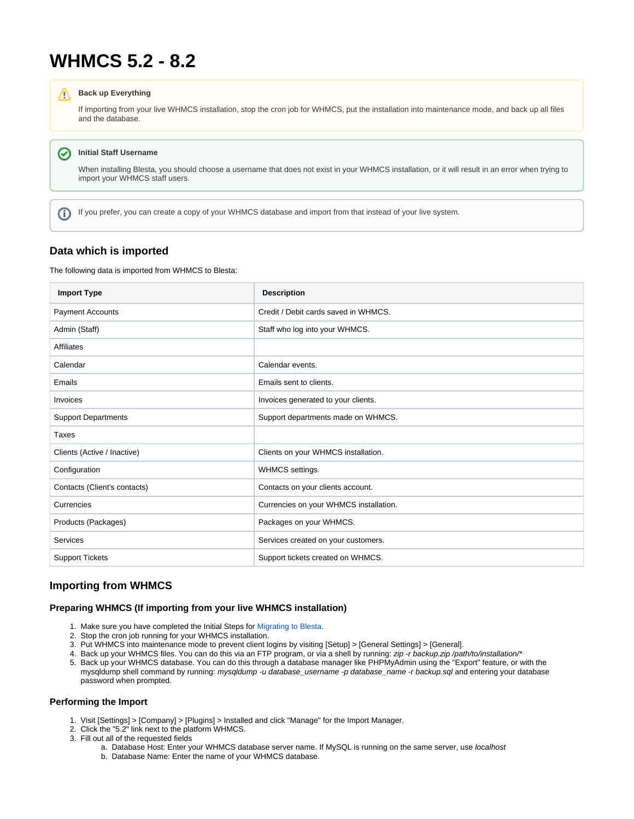# **WHMCS 5.2 - 8.2**

#### **Back up Everything** Λ

If importing from your live WHMCS installation, stop the cron job for WHMCS, put the installation into maintenance mode, and back up all files and the database.

#### **Initial Staff Username** の

When installing Blesta, you should choose a username that does not exist in your WHMCS installation, or it will result in an error when trying to import your WHMCS staff users.

If you prefer, you can create a copy of your WHMCS database and import from that instead of your live system.

## **Data which is imported**

ത

The following data is imported from WHMCS to Blesta:

| <b>Import Type</b>           | <b>Description</b>                     |
|------------------------------|----------------------------------------|
| <b>Payment Accounts</b>      | Credit / Debit cards saved in WHMCS.   |
| Admin (Staff)                | Staff who log into your WHMCS.         |
| <b>Affiliates</b>            |                                        |
| Calendar                     | Calendar events.                       |
| Emails                       | Emails sent to clients.                |
| Invoices                     | Invoices generated to your clients.    |
| <b>Support Departments</b>   | Support departments made on WHMCS.     |
| Taxes                        |                                        |
| Clients (Active / Inactive)  | Clients on your WHMCS installation.    |
| Configuration                | WHMCS settings.                        |
| Contacts (Client's contacts) | Contacts on your clients account.      |
| Currencies                   | Currencies on your WHMCS installation. |
| Products (Packages)          | Packages on your WHMCS.                |
| Services                     | Services created on your customers.    |
| <b>Support Tickets</b>       | Support tickets created on WHMCS.      |

# **Importing from WHMCS**

## **Preparing WHMCS (If importing from your live WHMCS installation)**

- 1. Make sure you have completed the Initial Steps for [Migrating to Blesta.](https://docs.blesta.com/display/user/Migrating+to+Blesta)
- 2. Stop the cron job running for your WHMCS installation.
- 3. Put WHMCS into maintenance mode to prevent client logins by visiting [Setup] > [General Settings] > [General].
- 4. Back up your WHMCS files. You can do this via an FTP program, or via a shell by running: zip -r backup.zip /path/to/installation/\*
- 5. Back up your WHMCS database. You can do this through a database manager like PHPMyAdmin using the "Export" feature, or with the mysqldump shell command by running: mysqldump -u database\_username -p database\_name -r backup.sql and entering your database password when prompted.

## **Performing the Import**

- 1. Visit [Settings] > [Company] > [Plugins] > Installed and click "Manage" for the Import Manager.
- 2. Click the "5.2" link next to the platform WHMCS.
- 3. Fill out all of the requested fields
	- a. Database Host: Enter your WHMCS database server name. If MySQL is running on the same server, use *localhost*
	- b. Database Name: Enter the name of your WHMCS database.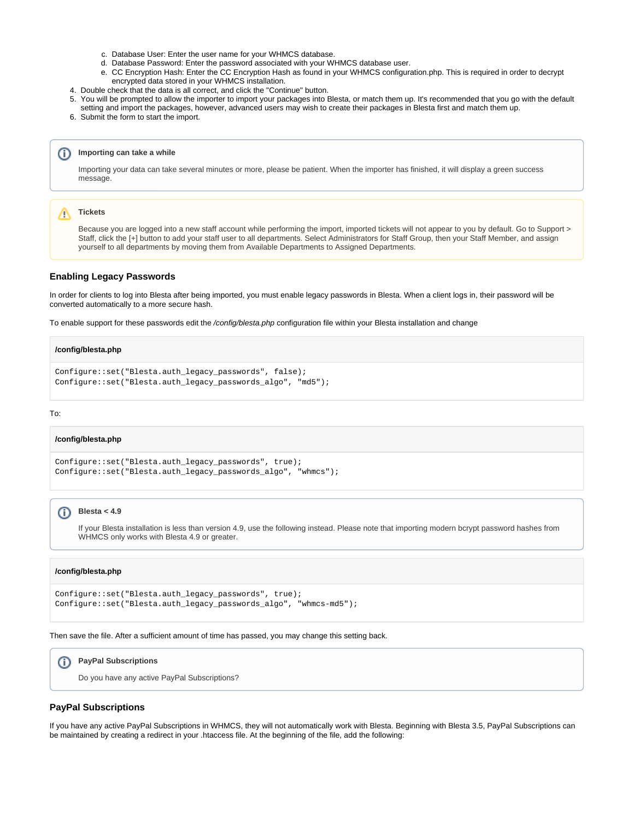- c. Database User: Enter the user name for your WHMCS database.
- d. Database Password: Enter the password associated with your WHMCS database user.
- e. CC Encryption Hash: Enter the CC Encryption Hash as found in your WHMCS configuration.php. This is required in order to decrypt encrypted data stored in your WHMCS installation.
- 4. Double check that the data is all correct, and click the "Continue" button.
- 5. You will be prompted to allow the importer to import your packages into Blesta, or match them up. It's recommended that you go with the default setting and import the packages, however, advanced users may wish to create their packages in Blesta first and match them up.
- 6. Submit the form to start the import.

#### **Importing can take a while** ന

Importing your data can take several minutes or more, please be patient. When the importer has finished, it will display a green success message.

#### Λ **Tickets**

Because you are logged into a new staff account while performing the import, imported tickets will not appear to you by default. Go to Support > Staff, click the [+] button to add your staff user to all departments. Select Administrators for Staff Group, then your Staff Member, and assign yourself to all departments by moving them from Available Departments to Assigned Departments.

### **Enabling Legacy Passwords**

In order for clients to log into Blesta after being imported, you must enable legacy passwords in Blesta. When a client logs in, their password will be converted automatically to a more secure hash.

To enable support for these passwords edit the /config/blesta.php configuration file within your Blesta installation and change

### **/config/blesta.php**

```
Configure::set("Blesta.auth_legacy_passwords", false);
Configure::set("Blesta.auth_legacy_passwords_algo", "md5");
```
#### To:

### **/config/blesta.php**

```
Configure::set("Blesta.auth_legacy_passwords", true);
Configure::set("Blesta.auth_legacy_passwords_algo", "whmcs");
```
#### **Blesta < 4.9** O)

If your Blesta installation is less than version 4.9, use the following instead. Please note that importing modern bcrypt password hashes from WHMCS only works with Blesta 4.9 or greater.

### **/config/blesta.php**

```
Configure::set("Blesta.auth_legacy_passwords", true);
Configure::set("Blesta.auth_legacy_passwords_algo", "whmcs-md5");
```
Then save the file. After a sufficient amount of time has passed, you may change this setting back.

#### **PayPal Subscriptions** (i)

Do you have any active PayPal Subscriptions?

## **PayPal Subscriptions**

If you have any active PayPal Subscriptions in WHMCS, they will not automatically work with Blesta. Beginning with Blesta 3.5, PayPal Subscriptions can be maintained by creating a redirect in your .htaccess file. At the beginning of the file, add the following: